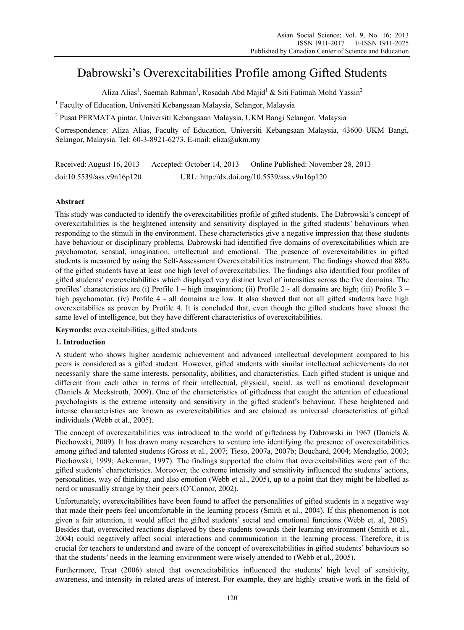# Dabrowski's Overexcitabilities Profile among Gifted Students

Aliza Alias<sup>1</sup>, Saemah Rahman<sup>1</sup>, Rosadah Abd Majid<sup>1</sup> & Siti Fatimah Mohd Yassin<sup>2</sup>

<sup>1</sup> Faculty of Education, Universiti Kebangsaan Malaysia, Selangor, Malaysia

<sup>2</sup> Pusat PERMATA pintar, Universiti Kebangsaan Malaysia, UKM Bangi Selangor, Malaysia

Correspondence: Aliza Alias, Faculty of Education, Universiti Kebangsaan Malaysia, 43600 UKM Bangi, Selangor, Malaysia. Tel: 60-3-8921-6273. E-mail: eliza@ukm.my

Received: August 16, 2013 Accepted: October 14, 2013 Online Published: November 28, 2013 doi:10.5539/ass.v9n16p120 URL: http://dx.doi.org/10.5539/ass.v9n16p120

# **Abstract**

This study was conducted to identify the overexcitabilities profile of gifted students. The Dabrowski's concept of overexcitabilities is the heightened intensity and sensitivity displayed in the gifted students' behaviours when responding to the stimuli in the environment. These characteristics give a negative impression that these students have behaviour or disciplinary problems. Dabrowski had identified five domains of overexcitabilities which are psychomotor, sensual, imagination, intellectual and emotional. The presence of overexcitabilities in gifted students is measured by using the Self-Assessment Overexcitabilities instrument. The findings showed that 88% of the gifted students have at least one high level of overexcitabilies. The findings also identified four profiles of gifted students' overexcitabilities which displayed very distinct level of intensities across the five domains. The profiles' characteristics are (i) Profile 1 – high imagination; (ii) Profile 2 - all domains are high; (iii) Profile 3 – high psychomotor, (iv) Profile 4 - all domains are low. It also showed that not all gifted students have high overexcitabilies as proven by Profile 4. It is concluded that, even though the gifted students have almost the same level of intelligence, but they have different characteristics of overexcitabilities.

**Keywords:** overexcitabilities, gifted students

#### **1. Introduction**

A student who shows higher academic achievement and advanced intellectual development compared to his peers is considered as a gifted student. However, gifted students with similar intellectual achievements do not necessarily share the same interests, personality, abilities, and characteristics. Each gifted student is unique and different from each other in terms of their intellectual, physical, social, as well as emotional development (Daniels & Meckstroth, 2009). One of the characteristics of giftedness that caught the attention of educational psychologists is the extreme intensity and sensitivity in the gifted student's behaviour. These heightened and intense characteristics are known as overexcitabilities and are claimed as universal characteristics of gifted individuals (Webb et al., 2005).

The concept of overexcitabilities was introduced to the world of giftedness by Dabrowski in 1967 (Daniels  $\&$ Piechowski, 2009). It has drawn many researchers to venture into identifying the presence of overexcitabilities among gifted and talented students (Gross et al., 2007; Tieso, 2007a, 2007b; Bouchard, 2004; Mendaglio, 2003; Piechowski, 1999; Ackerman, 1997). The findings supported the claim that overexcitabilities were part of the gifted students' characteristics. Moreover, the extreme intensity and sensitivity influenced the students' actions, personalities, way of thinking, and also emotion (Webb et al., 2005), up to a point that they might be labelled as nerd or unusually strange by their peers (O'Connor, 2002).

Unfortunately, overexcitabilities have been found to affect the personalities of gifted students in a negative way that made their peers feel uncomfortable in the learning process (Smith et al., 2004). If this phenomenon is not given a fair attention, it would affect the gifted students' social and emotional functions (Webb et. al, 2005). Besides that, overexcited reactions displayed by these students towards their learning environment (Smith et al., 2004) could negatively affect social interactions and communication in the learning process. Therefore, it is crucial for teachers to understand and aware of the concept of overexcitabilities in gifted students' behaviours so that the students' needs in the learning environment were wisely attended to (Webb et al., 2005).

Furthermore, Treat (2006) stated that overexcitabilities influenced the students' high level of sensitivity, awareness, and intensity in related areas of interest. For example, they are highly creative work in the field of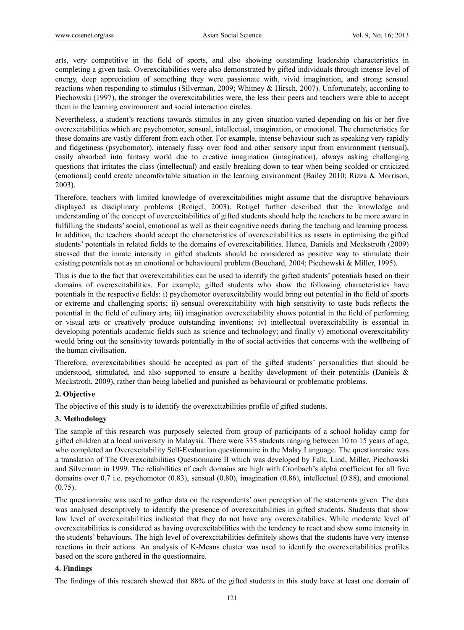arts, very competitive in the field of sports, and also showing outstanding leadership characteristics in completing a given task. Overexcitabilities were also demonstrated by gifted individuals through intense level of energy, deep appreciation of something they were passionate with, vivid imagination, and strong sensual reactions when responding to stimulus (Silverman, 2009; Whitney & Hirsch, 2007). Unfortunately, according to Piechowski (1997), the stronger the overexcitabilities were, the less their peers and teachers were able to accept them in the learning environment and social interaction circles.

Nevertheless, a student's reactions towards stimulus in any given situation varied depending on his or her five overexcitabilities which are psychomotor, sensual, intellectual, imagination, or emotional. The characteristics for these domains are vastly different from each other. For example, intense behaviour such as speaking very rapidly and fidgetiness (psychomotor), intensely fussy over food and other sensory input from environment (sensual), easily absorbed into fantasy world due to creative imagination (imagination), always asking challenging questions that irritates the class (intellectual) and easily breaking down to tear when being scolded or criticized (emotional) could create uncomfortable situation in the learning environment (Bailey 2010; Rizza & Morrison, 2003).

Therefore, teachers with limited knowledge of overexcitabilities might assume that the disruptive behaviours displayed as disciplinary problems (Rotigel, 2003). Rotigel further described that the knowledge and understanding of the concept of overexcitabilities of gifted students should help the teachers to be more aware in fulfilling the students' social, emotional as well as their cognitive needs during the teaching and learning process. In addition, the teachers should accept the characteristics of overexcitabilities as assets in optimising the gifted students' potentials in related fields to the domains of overexcitabilities. Hence, Daniels and Meckstroth (2009) stressed that the innate intensity in gifted students should be considered as positive way to stimulate their existing potentials not as an emotional or behavioural problem (Bouchard, 2004; Piechowski & Miller, 1995).

This is due to the fact that overexcitabilities can be used to identify the gifted students' potentials based on their domains of overexcitabilities. For example, gifted students who show the following characteristics have potentials in the respective fields: i) psychomotor overexcitability would bring out potential in the field of sports or extreme and challenging sports; ii) sensual overexcitability with high sensitivity to taste buds reflects the potential in the field of culinary arts; iii) imagination overexcitability shows potential in the field of performing or visual arts or creatively produce outstanding inventions; iv) intellectual overexcitability is essential in developing potentials academic fields such as science and technology; and finally v) emotional overexcitability would bring out the sensitivity towards potentially in the of social activities that concerns with the wellbeing of the human civilisation.

Therefore, overexcitabilities should be accepted as part of the gifted students' personalities that should be understood, stimulated, and also supported to ensure a healthy development of their potentials (Daniels  $\&$ Meckstroth, 2009), rather than being labelled and punished as behavioural or problematic problems.

# **2. Objective**

The objective of this study is to identify the overexcitabilities profile of gifted students.

# **3. Methodology**

The sample of this research was purposely selected from group of participants of a school holiday camp for gifted children at a local university in Malaysia. There were 335 students ranging between 10 to 15 years of age, who completed an Overexcitability Self-Evaluation questionnaire in the Malay Language. The questionnaire was a translation of The Overexcitabilities Questionnaire II which was developed by Falk, Lind, Miller, Piechowski and Silverman in 1999. The reliabilities of each domains are high with Cronbach's alpha coefficient for all five domains over 0.7 i.e. psychomotor (0.83), sensual (0.80), imagination (0.86), intellectual (0.88), and emotional  $(0.75)$ .

The questionnaire was used to gather data on the respondents' own perception of the statements given. The data was analysed descriptively to identify the presence of overexcitabilities in gifted students. Students that show low level of overexcitabilities indicated that they do not have any overexcitabilies. While moderate level of overexcitabilities is considered as having overexcitabilities with the tendency to react and show some intensity in the students' behaviours. The high level of overexcitabilities definitely shows that the students have very intense reactions in their actions. An analysis of K-Means cluster was used to identify the overexcitabilities profiles based on the score gathered in the questionnaire.

#### **4. Findings**

The findings of this research showed that 88% of the gifted students in this study have at least one domain of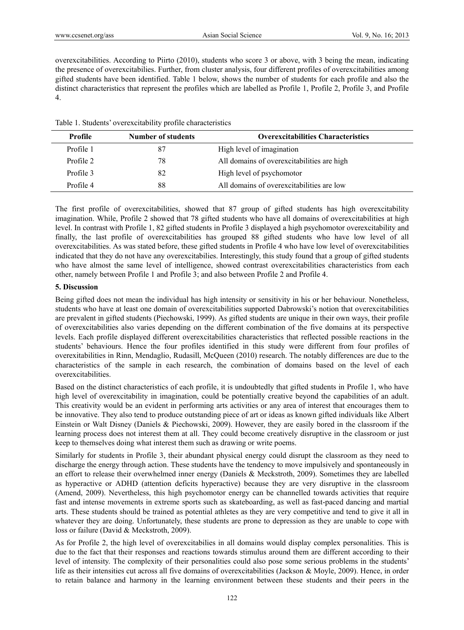overexcitabilities. According to Piirto (2010), students who score 3 or above, with 3 being the mean, indicating the presence of overexcitabilies. Further, from cluster analysis, four different profiles of overexcitabilities among gifted students have been identified. Table 1 below, shows the number of students for each profile and also the distinct characteristics that represent the profiles which are labelled as Profile 1, Profile 2, Profile 3, and Profile 4.

|  |  |  |  | Table 1. Students' overexcitability profile characteristics |
|--|--|--|--|-------------------------------------------------------------|
|--|--|--|--|-------------------------------------------------------------|

| Profile   | <b>Number of students</b> | <b>Overexcitabilities Characteristics</b>  |
|-----------|---------------------------|--------------------------------------------|
| Profile 1 | 87                        | High level of imagination                  |
| Profile 2 | 78                        | All domains of overexcitabilities are high |
| Profile 3 | 82                        | High level of psychomotor                  |
| Profile 4 | 88                        | All domains of overexcitabilities are low  |

The first profile of overexcitabilities, showed that 87 group of gifted students has high overexcitability imagination. While, Profile 2 showed that 78 gifted students who have all domains of overexcitabilities at high level. In contrast with Profile 1, 82 gifted students in Profile 3 displayed a high psychomotor overexcitability and finally, the last profile of overexcitabilities has grouped 88 gifted students who have low level of all overexcitabilities. As was stated before, these gifted students in Profile 4 who have low level of overexcitabilities indicated that they do not have any overexcitabilies. Interestingly, this study found that a group of gifted students who have almost the same level of intelligence, showed contrast overexcitabilities characteristics from each other, namely between Profile 1 and Profile 3; and also between Profile 2 and Profile 4.

# **5. Discussion**

Being gifted does not mean the individual has high intensity or sensitivity in his or her behaviour. Nonetheless, students who have at least one domain of overexcitabilities supported Dabrowski's notion that overexcitabilities are prevalent in gifted students (Piechowski, 1999). As gifted students are unique in their own ways, their profile of overexcitabilities also varies depending on the different combination of the five domains at its perspective levels. Each profile displayed different overexcitabilities characteristics that reflected possible reactions in the students' behaviours. Hence the four profiles identified in this study were different from four profiles of overexitabilities in Rinn, Mendaglio, Rudasill, McQueen (2010) research. The notably differences are due to the characteristics of the sample in each research, the combination of domains based on the level of each overexcitabilities.

Based on the distinct characteristics of each profile, it is undoubtedly that gifted students in Profile 1, who have high level of overexcitability in imagination, could be potentially creative beyond the capabilities of an adult. This creativity would be an evident in performing arts activities or any area of interest that encourages them to be innovative. They also tend to produce outstanding piece of art or ideas as known gifted individuals like Albert Einstein or Walt Disney (Daniels & Piechowski, 2009). However, they are easily bored in the classroom if the learning process does not interest them at all. They could become creatively disruptive in the classroom or just keep to themselves doing what interest them such as drawing or write poems.

Similarly for students in Profile 3, their abundant physical energy could disrupt the classroom as they need to discharge the energy through action. These students have the tendency to move impulsively and spontaneously in an effort to release their overwhelmed inner energy (Daniels & Meckstroth, 2009). Sometimes they are labelled as hyperactive or ADHD (attention deficits hyperactive) because they are very disruptive in the classroom (Amend, 2009). Nevertheless, this high psychomotor energy can be channelled towards activities that require fast and intense movements in extreme sports such as skateboarding, as well as fast-paced dancing and martial arts. These students should be trained as potential athletes as they are very competitive and tend to give it all in whatever they are doing. Unfortunately, these students are prone to depression as they are unable to cope with loss or failure (David & Meckstroth, 2009).

As for Profile 2, the high level of overexcitabilies in all domains would display complex personalities. This is due to the fact that their responses and reactions towards stimulus around them are different according to their level of intensity. The complexity of their personalities could also pose some serious problems in the students' life as their intensities cut across all five domains of overexcitabilities (Jackson & Moyle, 2009). Hence, in order to retain balance and harmony in the learning environment between these students and their peers in the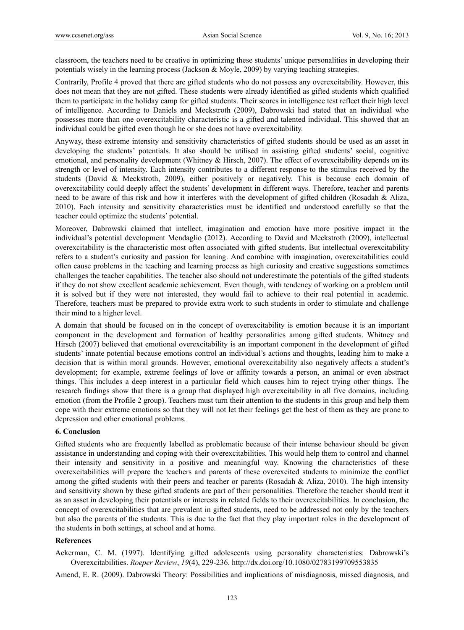classroom, the teachers need to be creative in optimizing these students' unique personalities in developing their potentials wisely in the learning process (Jackson & Moyle, 2009) by varying teaching strategies.

Contrarily, Profile 4 proved that there are gifted students who do not possess any overexcitability. However, this does not mean that they are not gifted. These students were already identified as gifted students which qualified them to participate in the holiday camp for gifted students. Their scores in intelligence test reflect their high level of intelligence. According to Daniels and Meckstroth (2009), Dabrowski had stated that an individual who possesses more than one overexcitability characteristic is a gifted and talented individual. This showed that an individual could be gifted even though he or she does not have overexcitability.

Anyway, these extreme intensity and sensitivity characteristics of gifted students should be used as an asset in developing the students' potentials. It also should be utilised in assisting gifted students' social, cognitive emotional, and personality development (Whitney & Hirsch, 2007). The effect of overexcitability depends on its strength or level of intensity. Each intensity contributes to a different response to the stimulus received by the students (David & Meckstroth, 2009), either positively or negatively. This is because each domain of overexcitability could deeply affect the students' development in different ways. Therefore, teacher and parents need to be aware of this risk and how it interferes with the development of gifted children (Rosadah & Aliza, 2010). Each intensity and sensitivity characteristics must be identified and understood carefully so that the teacher could optimize the students' potential.

Moreover, Dabrowski claimed that intellect, imagination and emotion have more positive impact in the individual's potential development Mendaglio (2012). According to David and Meckstroth (2009), intellectual overexcitability is the characteristic most often associated with gifted students. But intellectual overexcitability refers to a student's curiosity and passion for leaning. And combine with imagination, overexcitabilities could often cause problems in the teaching and learning process as high curiosity and creative suggestions sometimes challenges the teacher capabilities. The teacher also should not underestimate the potentials of the gifted students if they do not show excellent academic achievement. Even though, with tendency of working on a problem until it is solved but if they were not interested, they would fail to achieve to their real potential in academic. Therefore, teachers must be prepared to provide extra work to such students in order to stimulate and challenge their mind to a higher level.

A domain that should be focused on in the concept of overexcitability is emotion because it is an important component in the development and formation of healthy personalities among gifted students. Whitney and Hirsch (2007) believed that emotional overexcitability is an important component in the development of gifted students' innate potential because emotions control an individual's actions and thoughts, leading him to make a decision that is within moral grounds. However, emotional overexcitability also negatively affects a student's development; for example, extreme feelings of love or affinity towards a person, an animal or even abstract things. This includes a deep interest in a particular field which causes him to reject trying other things. The research findings show that there is a group that displayed high overexcitability in all five domains, including emotion (from the Profile 2 group). Teachers must turn their attention to the students in this group and help them cope with their extreme emotions so that they will not let their feelings get the best of them as they are prone to depression and other emotional problems.

#### **6. Conclusion**

Gifted students who are frequently labelled as problematic because of their intense behaviour should be given assistance in understanding and coping with their overexcitabilities. This would help them to control and channel their intensity and sensitivity in a positive and meaningful way. Knowing the characteristics of these overexcitabilities will prepare the teachers and parents of these overexcited students to minimize the conflict among the gifted students with their peers and teacher or parents (Rosadah & Aliza, 2010). The high intensity and sensitivity shown by these gifted students are part of their personalities. Therefore the teacher should treat it as an asset in developing their potentials or interests in related fields to their overexcitabilities. In conclusion, the concept of overexcitabilities that are prevalent in gifted students, need to be addressed not only by the teachers but also the parents of the students. This is due to the fact that they play important roles in the development of the students in both settings, at school and at home.

## **References**

Ackerman, C. M. (1997). Identifying gifted adolescents using personality characteristics: Dabrowski's Overexcitabilities. *Roeper Review*, *19*(4), 229-236. http://dx.doi.org/10.1080/02783199709553835

Amend, E. R. (2009). Dabrowski Theory: Possibilities and implications of misdiagnosis, missed diagnosis, and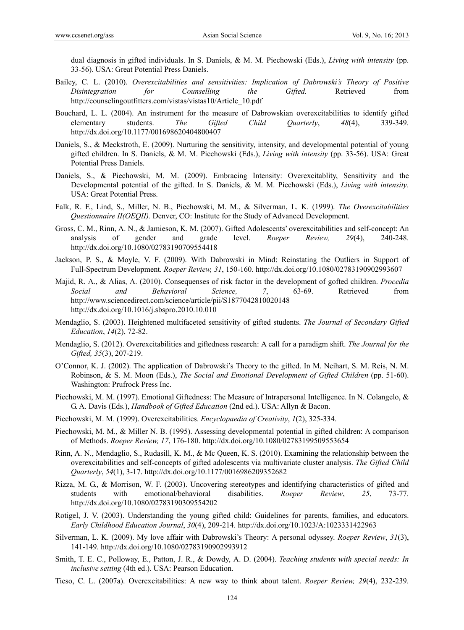dual diagnosis in gifted individuals. In S. Daniels, & M. M. Piechowski (Eds.), *Living with intensity* (pp. 33-56). USA: Great Potential Press Daniels.

- Bailey, C. L. (2010). *Overexcitabilities and sensitivities: Implication of Dabrowski's Theory of Positive Disintegration for Counselling the Gifted.* Retrieved from http://counselingoutfitters.com/vistas/vistas10/Article\_10.pdf
- Bouchard, L. L. (2004). An instrument for the measure of Dabrowskian overexcitabilities to identify gifted elementary students. *The Gifted Child Quarterly*, *48*(4), 339-349. http://dx.doi.org/10.1177/001698620404800407
- Daniels, S., & Meckstroth, E. (2009). Nurturing the sensitivity, intensity, and developmental potential of young gifted children. In S. Daniels, & M. M. Piechowski (Eds.), *Living with intensity* (pp. 33-56). USA: Great Potential Press Daniels.
- Daniels, S., & Piechowski, M. M. (2009). Embracing Intensity: Overexcitablity, Sensitivity and the Developmental potential of the gifted. In S. Daniels, & M. M. Piechowski (Eds.), *Living with intensity*. USA: Great Potential Press.
- Falk, R. F., Lind, S., Miller, N. B., Piechowski, M. M., & Silverman, L. K. (1999). *The Overexcitabilities Questionnaire II(OEQII).* Denver, CO: Institute for the Study of Advanced Development.
- Gross, C. M., Rinn, A. N., & Jamieson, K. M. (2007). Gifted Adolescents' overexcitabilities and self-concept: An analysis of gender and grade level. *Roeper Review, 29*(4), 240-248. http://dx.doi.org/10.1080/02783190709554418
- Jackson, P. S., & Moyle, V. F. (2009). With Dabrowski in Mind: Reinstating the Outliers in Support of Full-Spectrum Development. *Roeper Review, 31*, 150-160. http://dx.doi.org/10.1080/02783190902993607
- Majid, R. A., & Alias, A. (2010). Consequenses of risk factor in the development of gofted children. *Procedia Social and Behavioral Science, 7*, 63-69. Retrieved from http://www.sciencedirect.com/science/article/pii/S1877042810020148 http://dx.doi.org/10.1016/j.sbspro.2010.10.010
- Mendaglio, S. (2003). Heightened multifaceted sensitivity of gifted students. *The Journal of Secondary Gifted Education*, *14*(2), 72-82.
- Mendaglio, S. (2012). Overexcitabilities and giftedness research: A call for a paradigm shift. *The Journal for the Gifted, 35*(3), 207-219.
- O'Connor, K. J. (2002). The application of Dabrowski's Theory to the gifted. In M. Neihart, S. M. Reis, N. M. Robinson, & S. M. Moon (Eds.), *The Social and Emotional Development of Gifted Children* (pp. 51-60). Washington: Prufrock Press Inc.
- Piechowski, M. M. (1997). Emotional Giftedness: The Measure of Intrapersonal Intelligence. In N. Colangelo, & G. A. Davis (Eds.), *Handbook of Gifted Education* (2nd ed.). USA: Allyn & Bacon.
- Piechowski, M. M. (1999). Overexcitabilities. *Encyclopaedia of Creativity*, *1*(2), 325-334.
- Piechowski, M. M., & Miller N. B. (1995). Assessing developmental potential in gifted children: A comparison of Methods. *Roeper Review, 17*, 176-180. http://dx.doi.org/10.1080/02783199509553654
- Rinn, A. N., Mendaglio, S., Rudasill, K. M., & Mc Queen, K. S. (2010). Examining the relationship between the overexcitabilities and self-concepts of gifted adolescents via multivariate cluster analysis. *The Gifted Child Quarterly*, *54*(1), 3-17. http://dx.doi.org/10.1177/0016986209352682
- Rizza, M. G., & Morrison, W. F. (2003). Uncovering stereotypes and identifying characteristics of gifted and students with emotional/behavioral disabilities. *Roeper Review*, *25*, 73-77. http://dx.doi.org/10.1080/02783190309554202
- Rotigel, J. V. (2003). Understanding the young gifted child: Guidelines for parents, families, and educators. *Early Childhood Education Journal*, *30*(4), 209-214. http://dx.doi.org/10.1023/A:1023331422963
- Silverman, L. K. (2009). My love affair with Dabrowski's Theory: A personal odyssey. *Roeper Review*, *31*(3), 141-149. http://dx.doi.org/10.1080/02783190902993912
- Smith, T. E. C., Polloway, E., Patton, J. R., & Dowdy, A. D. (2004). *Teaching students with special needs: In inclusive setting* (4th ed.). USA: Pearson Education.
- Tieso, C. L. (2007a). Overexcitabilities: A new way to think about talent. *Roeper Review, 29*(4), 232-239.